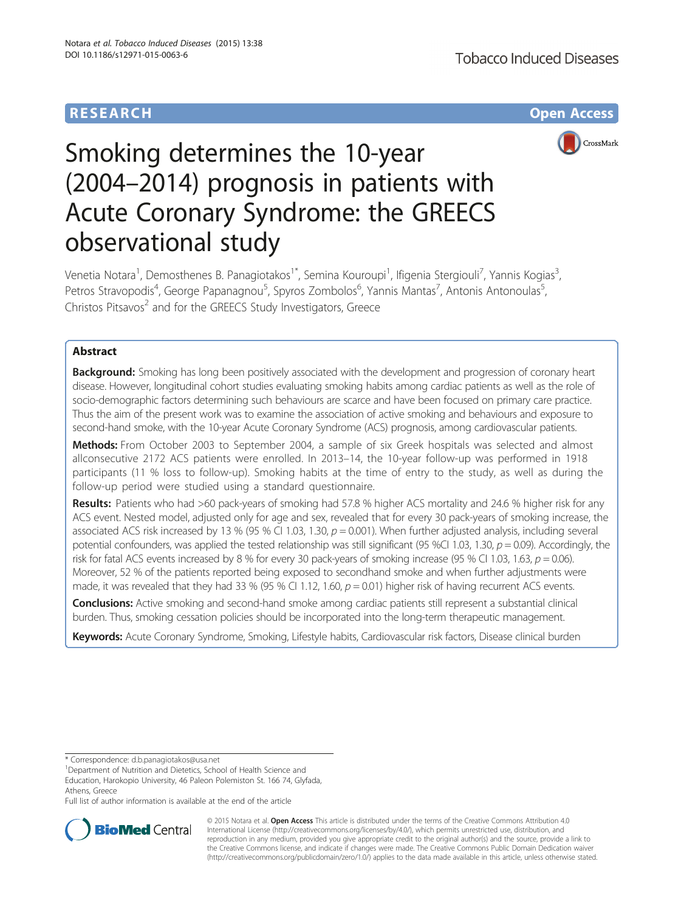## **RESEARCH CHE CHE Open Access**



# Smoking determines the 10-year (2004–2014) prognosis in patients with Acute Coronary Syndrome: the GREECS observational study

Venetia Notara<sup>1</sup>, Demosthenes B. Panagiotakos<sup>1\*</sup>, Semina Kouroupi<sup>1</sup>, Ifigenia Stergiouli<sup>7</sup>, Yannis Kogias<sup>3</sup> , Petros Stravopodis<sup>4</sup>, George Papanagnou<sup>5</sup>, Spyros Zombolos<sup>6</sup>, Yannis Mantas<sup>7</sup>, Antonis Antonoulas<sup>5</sup> , Christos Pitsavos<sup>2</sup> and for the GREECS Study Investigators, Greece

## Abstract

**Background:** Smoking has long been positively associated with the development and progression of coronary heart disease. However, longitudinal cohort studies evaluating smoking habits among cardiac patients as well as the role of socio-demographic factors determining such behaviours are scarce and have been focused on primary care practice. Thus the aim of the present work was to examine the association of active smoking and behaviours and exposure to second-hand smoke, with the 10-year Acute Coronary Syndrome (ACS) prognosis, among cardiovascular patients.

Methods: From October 2003 to September 2004, a sample of six Greek hospitals was selected and almost allconsecutive 2172 ACS patients were enrolled. In 2013–14, the 10-year follow-up was performed in 1918 participants (11 % loss to follow-up). Smoking habits at the time of entry to the study, as well as during the follow-up period were studied using a standard questionnaire.

Results: Patients who had >60 pack-years of smoking had 57.8 % higher ACS mortality and 24.6 % higher risk for any ACS event. Nested model, adjusted only for age and sex, revealed that for every 30 pack-years of smoking increase, the associated ACS risk increased by 13 % (95 % CI 1.03, 1.30,  $p = 0.001$ ). When further adjusted analysis, including several potential confounders, was applied the tested relationship was still significant (95 %Cl 1.03, 1.30,  $p = 0.09$ ). Accordingly, the risk for fatal ACS events increased by 8 % for every 30 pack-years of smoking increase (95 % CI 1.03, 1.63,  $p = 0.06$ ). Moreover, 52 % of the patients reported being exposed to secondhand smoke and when further adjustments were made, it was revealed that they had 33 % (95 % CI 1.12, 1.60,  $p = 0.01$ ) higher risk of having recurrent ACS events.

Conclusions: Active smoking and second-hand smoke among cardiac patients still represent a substantial clinical burden. Thus, smoking cessation policies should be incorporated into the long-term therapeutic management.

Keywords: Acute Coronary Syndrome, Smoking, Lifestyle habits, Cardiovascular risk factors, Disease clinical burden

\* Correspondence: [d.b.panagiotakos@usa.net](mailto:d.b.panagiotakos@usa.net) <sup>1</sup>

<sup>1</sup>Department of Nutrition and Dietetics, School of Health Science and Education, Harokopio University, 46 Paleon Polemiston St. 166 74, Glyfada, Athens, Greece

Full list of author information is available at the end of the article



© 2015 Notara et al. Open Access This article is distributed under the terms of the Creative Commons Attribution 4.0 International License [\(http://creativecommons.org/licenses/by/4.0/](http://creativecommons.org/licenses/by/4.0/)), which permits unrestricted use, distribution, and reproduction in any medium, provided you give appropriate credit to the original author(s) and the source, provide a link to the Creative Commons license, and indicate if changes were made. The Creative Commons Public Domain Dedication waiver [\(http://creativecommons.org/publicdomain/zero/1.0/](http://creativecommons.org/publicdomain/zero/1.0/)) applies to the data made available in this article, unless otherwise stated.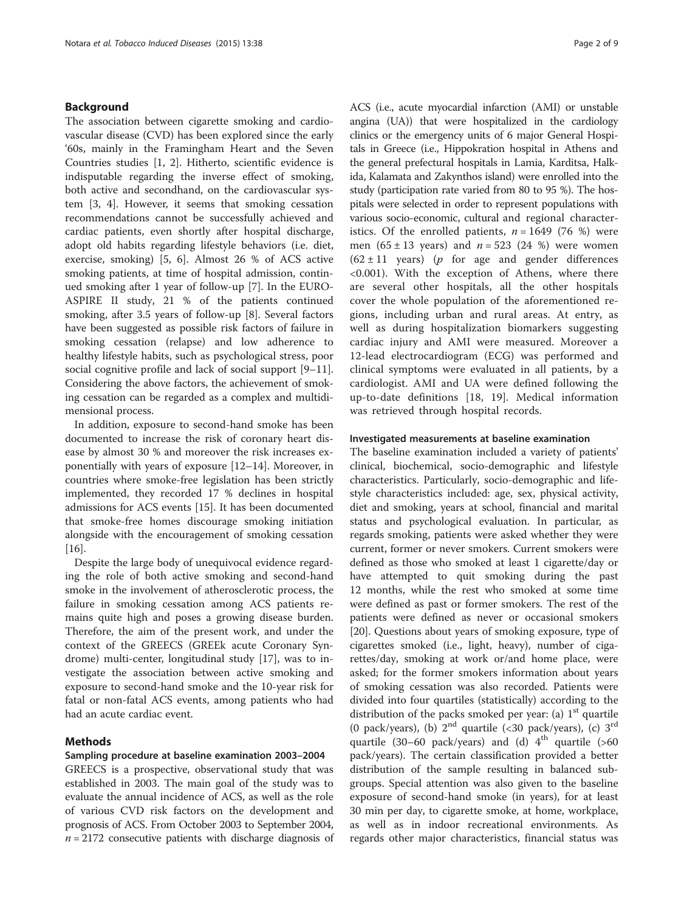## Background

The association between cigarette smoking and cardiovascular disease (CVD) has been explored since the early '60s, mainly in the Framingham Heart and the Seven Countries studies [[1, 2](#page-6-0)]. Hitherto, scientific evidence is indisputable regarding the inverse effect of smoking, both active and secondhand, on the cardiovascular system [[3,](#page-6-0) [4\]](#page-7-0). However, it seems that smoking cessation recommendations cannot be successfully achieved and cardiac patients, even shortly after hospital discharge, adopt old habits regarding lifestyle behaviors (i.e. diet, exercise, smoking) [\[5](#page-7-0), [6](#page-7-0)]. Almost 26 % of ACS active smoking patients, at time of hospital admission, continued smoking after 1 year of follow-up [\[7](#page-7-0)]. In the EURO-ASPIRE II study, 21 % of the patients continued smoking, after 3.5 years of follow-up [[8\]](#page-7-0). Several factors have been suggested as possible risk factors of failure in smoking cessation (relapse) and low adherence to healthy lifestyle habits, such as psychological stress, poor social cognitive profile and lack of social support [[9](#page-7-0)–[11](#page-7-0)]. Considering the above factors, the achievement of smoking cessation can be regarded as a complex and multidimensional process.

In addition, exposure to second-hand smoke has been documented to increase the risk of coronary heart disease by almost 30 % and moreover the risk increases exponentially with years of exposure [[12](#page-7-0)–[14\]](#page-7-0). Moreover, in countries where smoke-free legislation has been strictly implemented, they recorded 17 % declines in hospital admissions for ACS events [[15\]](#page-7-0). It has been documented that smoke-free homes discourage smoking initiation alongside with the encouragement of smoking cessation [[16\]](#page-7-0).

Despite the large body of unequivocal evidence regarding the role of both active smoking and second-hand smoke in the involvement of atherosclerotic process, the failure in smoking cessation among ACS patients remains quite high and poses a growing disease burden. Therefore, the aim of the present work, and under the context of the GREECS (GREEk acute Coronary Syndrome) multi-center, longitudinal study [[17](#page-7-0)], was to investigate the association between active smoking and exposure to second-hand smoke and the 10-year risk for fatal or non-fatal ACS events, among patients who had had an acute cardiac event.

## Methods

## Sampling procedure at baseline examination 2003–2004

GREECS is a prospective, observational study that was established in 2003. The main goal of the study was to evaluate the annual incidence of ACS, as well as the role of various CVD risk factors on the development and prognosis of ACS. From October 2003 to September 2004,  $n = 2172$  consecutive patients with discharge diagnosis of ACS (i.e., acute myocardial infarction (AMI) or unstable angina (UA)) that were hospitalized in the cardiology clinics or the emergency units of 6 major General Hospitals in Greece (i.e., Hippokration hospital in Athens and the general prefectural hospitals in Lamia, Karditsa, Halkida, Kalamata and Zakynthos island) were enrolled into the study (participation rate varied from 80 to 95 %). The hospitals were selected in order to represent populations with various socio-economic, cultural and regional characteristics. Of the enrolled patients,  $n = 1649$  (76 %) were men  $(65 \pm 13$  years) and  $n = 523$  (24 %) were women  $(62 \pm 11$  years) (*p* for age and gender differences <0.001). With the exception of Athens, where there are several other hospitals, all the other hospitals cover the whole population of the aforementioned regions, including urban and rural areas. At entry, as well as during hospitalization biomarkers suggesting cardiac injury and AMI were measured. Moreover a 12-lead electrocardiogram (ECG) was performed and clinical symptoms were evaluated in all patients, by a cardiologist. AMI and UA were defined following the up-to-date definitions [[18, 19\]](#page-7-0). Medical information was retrieved through hospital records.

## Investigated measurements at baseline examination

The baseline examination included a variety of patients' clinical, biochemical, socio-demographic and lifestyle characteristics. Particularly, socio-demographic and lifestyle characteristics included: age, sex, physical activity, diet and smoking, years at school, financial and marital status and psychological evaluation. In particular, as regards smoking, patients were asked whether they were current, former or never smokers. Current smokers were defined as those who smoked at least 1 cigarette/day or have attempted to quit smoking during the past 12 months, while the rest who smoked at some time were defined as past or former smokers. The rest of the patients were defined as never or occasional smokers [[20\]](#page-7-0). Questions about years of smoking exposure, type of cigarettes smoked (i.e., light, heavy), number of cigarettes/day, smoking at work or/and home place, were asked; for the former smokers information about years of smoking cessation was also recorded. Patients were divided into four quartiles (statistically) according to the distribution of the packs smoked per year: (a)  $1<sup>st</sup>$  quartile (0 pack/years), (b)  $2<sup>nd</sup>$  quartile (<30 pack/years), (c)  $3<sup>rd</sup>$ quartile (30–60 pack/years) and (d)  $4<sup>th</sup>$  quartile (>60 pack/years). The certain classification provided a better distribution of the sample resulting in balanced subgroups. Special attention was also given to the baseline exposure of second-hand smoke (in years), for at least 30 min per day, to cigarette smoke, at home, workplace, as well as in indoor recreational environments. As regards other major characteristics, financial status was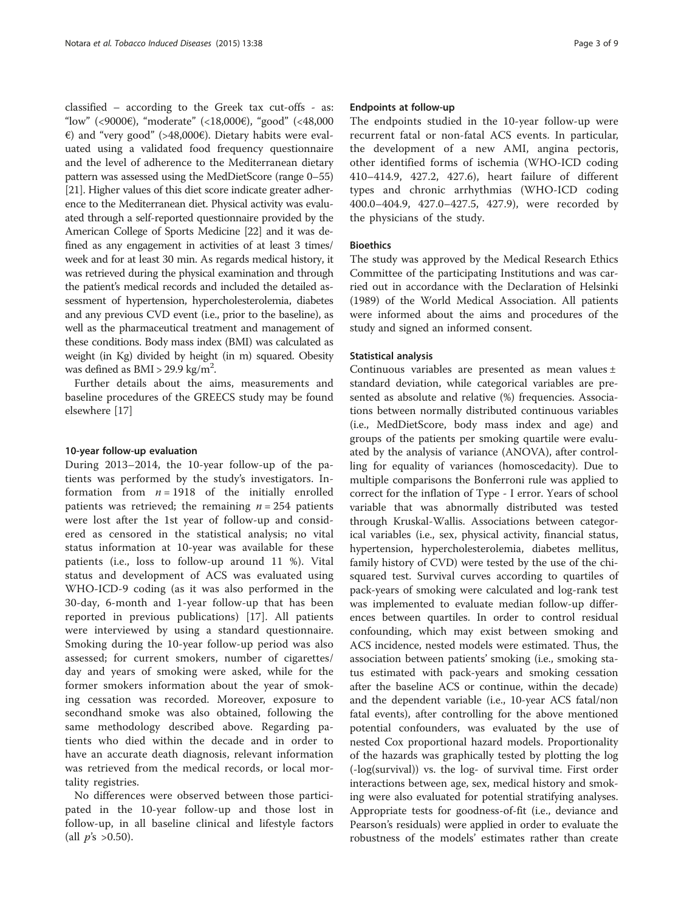classified – according to the Greek tax cut-offs - as: "low" (<9000€), "moderate" (<18,000€), "good" (<48,000  $\epsilon$ ) and "very good" (>48,000 $\epsilon$ ). Dietary habits were evaluated using a validated food frequency questionnaire and the level of adherence to the Mediterranean dietary pattern was assessed using the MedDietScore (range 0–55) [[21](#page-7-0)]. Higher values of this diet score indicate greater adherence to the Mediterranean diet. Physical activity was evaluated through a self-reported questionnaire provided by the American College of Sports Medicine [[22](#page-7-0)] and it was defined as any engagement in activities of at least 3 times/ week and for at least 30 min. As regards medical history, it was retrieved during the physical examination and through the patient's medical records and included the detailed assessment of hypertension, hypercholesterolemia, diabetes and any previous CVD event (i.e., prior to the baseline), as well as the pharmaceutical treatment and management of these conditions. Body mass index (BMI) was calculated as weight (in Kg) divided by height (in m) squared. Obesity was defined as  $BMI > 29.9$  kg/m<sup>2</sup>.

Further details about the aims, measurements and baseline procedures of the GREECS study may be found elsewhere [[17](#page-7-0)]

### 10-year follow-up evaluation

During 2013–2014, the 10-year follow-up of the patients was performed by the study's investigators. Information from  $n = 1918$  of the initially enrolled patients was retrieved; the remaining  $n = 254$  patients were lost after the 1st year of follow-up and considered as censored in the statistical analysis; no vital status information at 10-year was available for these patients (i.e., loss to follow-up around 11 %). Vital status and development of ACS was evaluated using WHO-ICD-9 coding (as it was also performed in the 30-day, 6-month and 1-year follow-up that has been reported in previous publications) [[17\]](#page-7-0). All patients were interviewed by using a standard questionnaire. Smoking during the 10-year follow-up period was also assessed; for current smokers, number of cigarettes/ day and years of smoking were asked, while for the former smokers information about the year of smoking cessation was recorded. Moreover, exposure to secondhand smoke was also obtained, following the same methodology described above. Regarding patients who died within the decade and in order to have an accurate death diagnosis, relevant information was retrieved from the medical records, or local mortality registries.

No differences were observed between those participated in the 10-year follow-up and those lost in follow-up, in all baseline clinical and lifestyle factors (all  $p's > 0.50$ ).

### Endpoints at follow-up

The endpoints studied in the 10-year follow-up were recurrent fatal or non-fatal ACS events. In particular, the development of a new AMI, angina pectoris, other identified forms of ischemia (WHO-ICD coding 410–414.9, 427.2, 427.6), heart failure of different types and chronic arrhythmias (WHO-ICD coding 400.0–404.9, 427.0–427.5, 427.9), were recorded by the physicians of the study.

## **Bioethics**

The study was approved by the Medical Research Ethics Committee of the participating Institutions and was carried out in accordance with the Declaration of Helsinki (1989) of the World Medical Association. All patients were informed about the aims and procedures of the study and signed an informed consent.

## Statistical analysis

Continuous variables are presented as mean values ± standard deviation, while categorical variables are presented as absolute and relative (%) frequencies. Associations between normally distributed continuous variables (i.e., MedDietScore, body mass index and age) and groups of the patients per smoking quartile were evaluated by the analysis of variance (ANOVA), after controlling for equality of variances (homoscedacity). Due to multiple comparisons the Bonferroni rule was applied to correct for the inflation of Type - I error. Years of school variable that was abnormally distributed was tested through Kruskal-Wallis. Associations between categorical variables (i.e., sex, physical activity, financial status, hypertension, hypercholesterolemia, diabetes mellitus, family history of CVD) were tested by the use of the chisquared test. Survival curves according to quartiles of pack-years of smoking were calculated and log-rank test was implemented to evaluate median follow-up differences between quartiles. In order to control residual confounding, which may exist between smoking and ACS incidence, nested models were estimated. Thus, the association between patients' smoking (i.e., smoking status estimated with pack-years and smoking cessation after the baseline ACS or continue, within the decade) and the dependent variable (i.e., 10-year ACS fatal/non fatal events), after controlling for the above mentioned potential confounders, was evaluated by the use of nested Cox proportional hazard models. Proportionality of the hazards was graphically tested by plotting the log (-log(survival)) vs. the log- of survival time. First order interactions between age, sex, medical history and smoking were also evaluated for potential stratifying analyses. Appropriate tests for goodness-of-fit (i.e., deviance and Pearson's residuals) were applied in order to evaluate the robustness of the models' estimates rather than create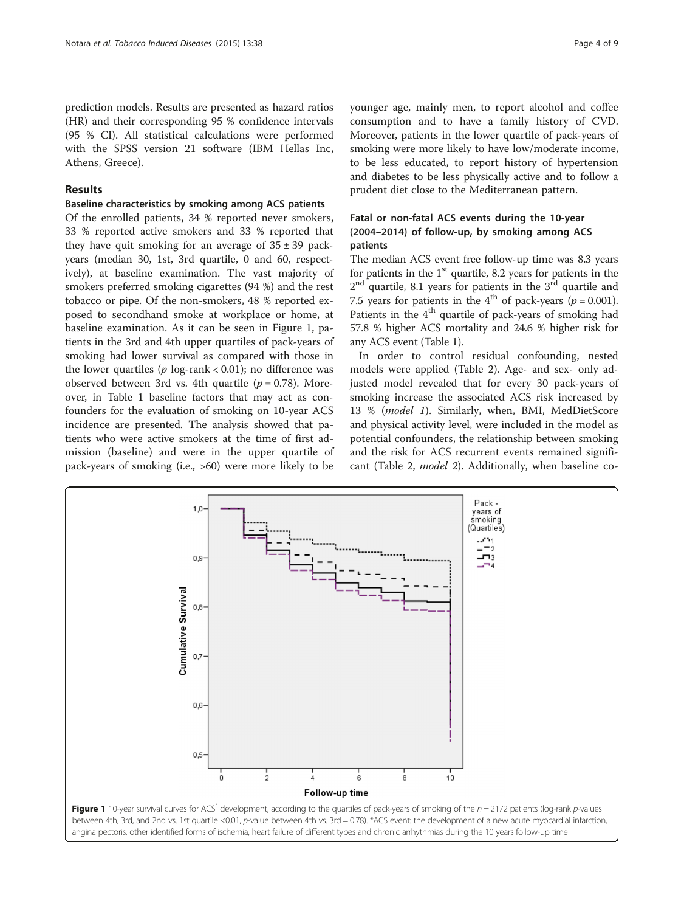prediction models. Results are presented as hazard ratios (HR) and their corresponding 95 % confidence intervals (95 % CI). All statistical calculations were performed with the SPSS version 21 software (IBM Hellas Inc, Athens, Greece).

## Results

## Baseline characteristics by smoking among ACS patients

Of the enrolled patients, 34 % reported never smokers, 33 % reported active smokers and 33 % reported that they have quit smoking for an average of  $35 \pm 39$  packyears (median 30, 1st, 3rd quartile, 0 and 60, respectively), at baseline examination. The vast majority of smokers preferred smoking cigarettes (94 %) and the rest tobacco or pipe. Of the non-smokers, 48 % reported exposed to secondhand smoke at workplace or home, at baseline examination. As it can be seen in Figure 1, patients in the 3rd and 4th upper quartiles of pack-years of smoking had lower survival as compared with those in the lower quartiles ( $p \log-rank < 0.01$ ); no difference was observed between 3rd vs. 4th quartile ( $p = 0.78$ ). Moreover, in Table [1](#page-4-0) baseline factors that may act as confounders for the evaluation of smoking on 10-year ACS incidence are presented. The analysis showed that patients who were active smokers at the time of first admission (baseline) and were in the upper quartile of pack-years of smoking (i.e., >60) were more likely to be younger age, mainly men, to report alcohol and coffee consumption and to have a family history of CVD. Moreover, patients in the lower quartile of pack-years of smoking were more likely to have low/moderate income, to be less educated, to report history of hypertension and diabetes to be less physically active and to follow a prudent diet close to the Mediterranean pattern.

## Fatal or non-fatal ACS events during the 10-year (2004–2014) of follow-up, by smoking among ACS patients

The median ACS event free follow-up time was 8.3 years for patients in the  $1<sup>st</sup>$  quartile, 8.2 years for patients in the  $2<sup>nd</sup>$  quartile, 8.1 years for patients in the  $3<sup>rd</sup>$  quartile and 7.5 years for patients in the 4<sup>th</sup> of pack-years ( $p = 0.001$ ). Patients in the  $4<sup>th</sup>$  quartile of pack-years of smoking had 57.8 % higher ACS mortality and 24.6 % higher risk for any ACS event (Table [1\)](#page-4-0).

In order to control residual confounding, nested models were applied (Table [2](#page-4-0)). Age- and sex- only adjusted model revealed that for every 30 pack-years of smoking increase the associated ACS risk increased by 13 % (model 1). Similarly, when, BMI, MedDietScore and physical activity level, were included in the model as potential confounders, the relationship between smoking and the risk for ACS recurrent events remained significant (Table [2,](#page-4-0) model 2). Additionally, when baseline co-

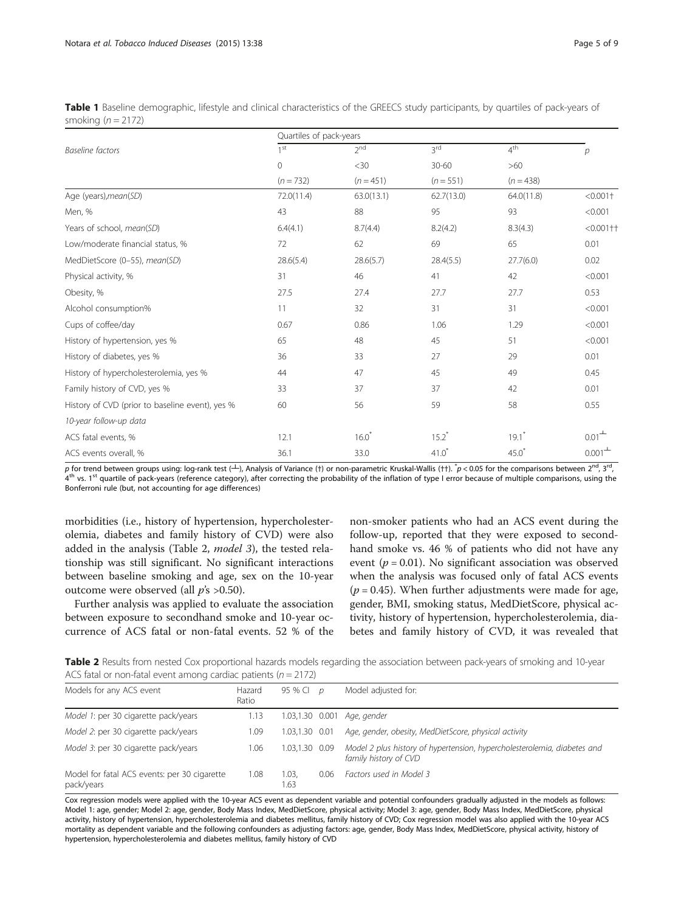| <b>Baseline</b> factors                         | Quartiles of pack-years        |                                |                                             |                                         |                   |             |            |
|-------------------------------------------------|--------------------------------|--------------------------------|---------------------------------------------|-----------------------------------------|-------------------|-------------|------------|
|                                                 | 1 <sup>st</sup><br>$\mathbf 0$ | $2^{nd}$<br><30<br>$(n = 451)$ | $3^{\text{rd}}$<br>$30 - 60$<br>$(n = 551)$ | $4^{\text{th}}$<br>$>60$<br>$(n = 438)$ | р                 |             |            |
|                                                 |                                |                                |                                             |                                         |                   | $(n = 732)$ |            |
|                                                 | Age (years), mean(SD)          |                                |                                             |                                         |                   | 72.0(11.4)  | 63.0(13.1) |
| Men, %                                          | 43                             | 88                             | 95                                          | 93                                      | < 0.001           |             |            |
| Years of school, mean(SD)                       | 6.4(4.1)                       | 8.7(4.4)                       | 8.2(4.2)                                    | 8.3(4.3)                                | $< 0.001 +$       |             |            |
| Low/moderate financial status, %                | 72                             | 62                             | 69                                          | 65                                      | 0.01              |             |            |
| MedDietScore (0-55), mean(SD)                   | 28.6(5.4)                      | 28.6(5.7)                      | 28.4(5.5)                                   | 27.7(6.0)                               | 0.02              |             |            |
| Physical activity, %                            | 31                             | 46                             | 41                                          | 42                                      | < 0.001           |             |            |
| Obesity, %                                      | 27.5                           | 27.4                           | 27.7                                        | 27.7                                    | 0.53              |             |            |
| Alcohol consumption%                            | 11                             | 32                             | 31                                          | 31                                      | < 0.001           |             |            |
| Cups of coffee/day                              | 0.67                           | 0.86                           | 1.06                                        | 1.29                                    | < 0.001           |             |            |
| History of hypertension, yes %                  | 65                             | 48                             | 45                                          | 51                                      | < 0.001           |             |            |
| History of diabetes, yes %                      | 36                             | 33                             | 27                                          | 29                                      | 0.01              |             |            |
| History of hypercholesterolemia, yes %          | 44                             | 47                             | 45                                          | 49                                      | 0.45              |             |            |
| Family history of CVD, yes %                    | 33                             | 37                             | 37                                          | 42                                      | 0.01              |             |            |
| History of CVD (prior to baseline event), yes % | 60                             | 56                             | 59                                          | 58                                      | 0.55              |             |            |
| 10-year follow-up data                          |                                |                                |                                             |                                         |                   |             |            |
| ACS fatal events, %                             | 12.1                           | $16.0^*$                       | $15.2^*$                                    | $19.1$ <sup>*</sup>                     | $0.01^{\text{+}}$ |             |            |
| ACS events overall, %                           | 36.1                           | 33.0                           | $41.0*$                                     | 45.0                                    | $0.001^{\perp}$   |             |            |

<span id="page-4-0"></span>Table 1 Baseline demographic, lifestyle and clinical characteristics of the GREECS study participants, by quartiles of pack-years of smoking  $(n = 2172)$ 

p for trend between groups using: log-rank test (┴), Analysis of Variance (†) or non-parametric Kruskal-Wallis (††).  $^*p$  < 0.05 for the comparisons between 2<sup>nd</sup>, 3<sup>rd</sup>, 4<sup>th</sup> vs. 1<sup>st</sup> quartile of pack-years (reference category), after correcting the probability of the inflation of type I error because of multiple comparisons, using the Bonferroni rule (but, not accounting for age differences)

morbidities (i.e., history of hypertension, hypercholesterolemia, diabetes and family history of CVD) were also added in the analysis (Table 2, model 3), the tested relationship was still significant. No significant interactions between baseline smoking and age, sex on the 10-year outcome were observed (all  $p's > 0.50$ ).

Further analysis was applied to evaluate the association between exposure to secondhand smoke and 10-year occurrence of ACS fatal or non-fatal events. 52 % of the

non-smoker patients who had an ACS event during the follow-up, reported that they were exposed to secondhand smoke vs. 46 % of patients who did not have any event ( $p = 0.01$ ). No significant association was observed when the analysis was focused only of fatal ACS events  $(p = 0.45)$ . When further adjustments were made for age, gender, BMI, smoking status, MedDietScore, physical activity, history of hypertension, hypercholesterolemia, diabetes and family history of CVD, it was revealed that

Table 2 Results from nested Cox proportional hazards models regarding the association between pack-years of smoking and 10-year ACS fatal or non-fatal event among cardiac patients ( $n = 2172$ )

| Models for any ACS event                                   | Hazard<br>Ratio | 95 % Cl p      |      | Model adjusted for:                                                                               |
|------------------------------------------------------------|-----------------|----------------|------|---------------------------------------------------------------------------------------------------|
| Model 1: per 30 cigarette pack/years                       | 1.13            |                |      | 1.03,1.30  0.001  Age, gender                                                                     |
| Model 2: per 30 cigarette pack/years                       | 1.09            | 1.03.1.30 0.01 |      | Age, gender, obesity, MedDietScore, physical activity                                             |
| Model 3: per 30 cigarette pack/years                       | 1.06            | 1.03,1.30 0.09 |      | Model 2 plus history of hypertension, hypercholesterolemia, diabetes and<br>family history of CVD |
| Model for fatal ACS events: per 30 cigarette<br>pack/years | 1.08            | 1.03,<br>1.63  | 0.06 | Factors used in Model 3                                                                           |

Cox regression models were applied with the 10-year ACS event as dependent variable and potential confounders gradually adjusted in the models as follows: Model 1: age, gender; Model 2: age, gender, Body Mass Index, MedDietScore, physical activity; Model 3: age, gender, Body Mass Index, MedDietScore, physical activity, history of hypertension, hypercholesterolemia and diabetes mellitus, family history of CVD; Cox regression model was also applied with the 10-year ACS mortality as dependent variable and the following confounders as adjusting factors: age, gender, Body Mass Index, MedDietScore, physical activity, history of hypertension, hypercholesterolemia and diabetes mellitus, family history of CVD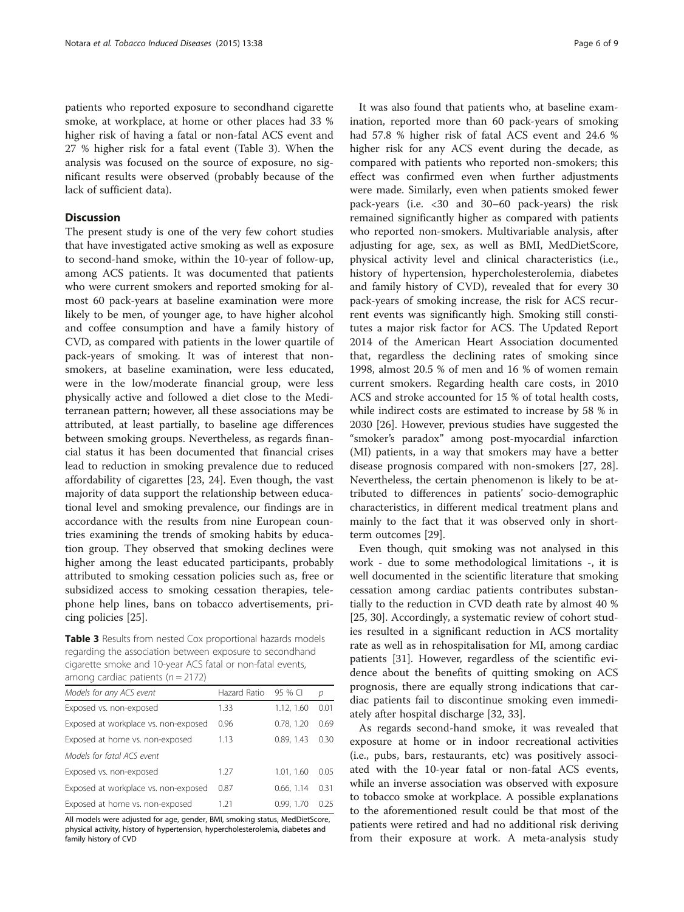patients who reported exposure to secondhand cigarette smoke, at workplace, at home or other places had 33 % higher risk of having a fatal or non-fatal ACS event and 27 % higher risk for a fatal event (Table 3). When the analysis was focused on the source of exposure, no significant results were observed (probably because of the lack of sufficient data).

## **Discussion**

The present study is one of the very few cohort studies that have investigated active smoking as well as exposure to second-hand smoke, within the 10-year of follow-up, among ACS patients. It was documented that patients who were current smokers and reported smoking for almost 60 pack-years at baseline examination were more likely to be men, of younger age, to have higher alcohol and coffee consumption and have a family history of CVD, as compared with patients in the lower quartile of pack-years of smoking. It was of interest that nonsmokers, at baseline examination, were less educated, were in the low/moderate financial group, were less physically active and followed a diet close to the Mediterranean pattern; however, all these associations may be attributed, at least partially, to baseline age differences between smoking groups. Nevertheless, as regards financial status it has been documented that financial crises lead to reduction in smoking prevalence due to reduced affordability of cigarettes [\[23, 24](#page-7-0)]. Even though, the vast majority of data support the relationship between educational level and smoking prevalence, our findings are in accordance with the results from nine European countries examining the trends of smoking habits by education group. They observed that smoking declines were higher among the least educated participants, probably attributed to smoking cessation policies such as, free or subsidized access to smoking cessation therapies, telephone help lines, bans on tobacco advertisements, pricing policies [\[25](#page-7-0)].

Table 3 Results from nested Cox proportional hazards models regarding the association between exposure to secondhand cigarette smoke and 10-year ACS fatal or non-fatal events, among cardiac patients  $(n = 2172)$ 

| Models for any ACS event             | Hazard Ratio | 95 % CI    | р    |
|--------------------------------------|--------------|------------|------|
| Exposed vs. non-exposed              | 1.33         | 1.12, 1.60 | 0.01 |
| Exposed at workplace vs. non-exposed | 0.96         | 0.78, 1.20 | 0.69 |
| Exposed at home vs. non-exposed      | 1.13         | 0.89, 1.43 | 0.30 |
| Models for fatal ACS event           |              |            |      |
| Exposed vs. non-exposed              | 1.27         | 1.01, 1.60 | 0.05 |
| Exposed at workplace vs. non-exposed | 0.87         | 0.66, 1.14 | 0.31 |
| Exposed at home vs. non-exposed      | 1.21         | 0.99, 1.70 | 0.25 |

All models were adjusted for age, gender, BMI, smoking status, MedDietScore, physical activity, history of hypertension, hypercholesterolemia, diabetes and family history of CVD

It was also found that patients who, at baseline examination, reported more than 60 pack-years of smoking had 57.8 % higher risk of fatal ACS event and 24.6 % higher risk for any ACS event during the decade, as compared with patients who reported non-smokers; this effect was confirmed even when further adjustments were made. Similarly, even when patients smoked fewer pack-years (i.e. <30 and 30–60 pack-years) the risk remained significantly higher as compared with patients who reported non-smokers. Multivariable analysis, after adjusting for age, sex, as well as BMI, MedDietScore, physical activity level and clinical characteristics (i.e., history of hypertension, hypercholesterolemia, diabetes and family history of CVD), revealed that for every 30 pack-years of smoking increase, the risk for ACS recurrent events was significantly high. Smoking still constitutes a major risk factor for ACS. The Updated Report 2014 of the American Heart Association documented that, regardless the declining rates of smoking since 1998, almost 20.5 % of men and 16 % of women remain current smokers. Regarding health care costs, in 2010 ACS and stroke accounted for 15 % of total health costs, while indirect costs are estimated to increase by 58 % in 2030 [[26\]](#page-7-0). However, previous studies have suggested the "smoker's paradox" among post-myocardial infarction (MI) patients, in a way that smokers may have a better disease prognosis compared with non-smokers [[27](#page-7-0), [28](#page-7-0)]. Nevertheless, the certain phenomenon is likely to be attributed to differences in patients' socio-demographic characteristics, in different medical treatment plans and mainly to the fact that it was observed only in shortterm outcomes [[29\]](#page-7-0).

Even though, quit smoking was not analysed in this work - due to some methodological limitations -, it is well documented in the scientific literature that smoking cessation among cardiac patients contributes substantially to the reduction in CVD death rate by almost 40 % [[25, 30\]](#page-7-0). Accordingly, a systematic review of cohort studies resulted in a significant reduction in ACS mortality rate as well as in rehospitalisation for MI, among cardiac patients [[31\]](#page-7-0). However, regardless of the scientific evidence about the benefits of quitting smoking on ACS prognosis, there are equally strong indications that cardiac patients fail to discontinue smoking even immediately after hospital discharge [[32](#page-7-0), [33](#page-7-0)].

As regards second-hand smoke, it was revealed that exposure at home or in indoor recreational activities (i.e., pubs, bars, restaurants, etc) was positively associated with the 10-year fatal or non-fatal ACS events, while an inverse association was observed with exposure to tobacco smoke at workplace. Α possible explanations to the aforementioned result could be that most of the patients were retired and had no additional risk deriving from their exposure at work. A meta-analysis study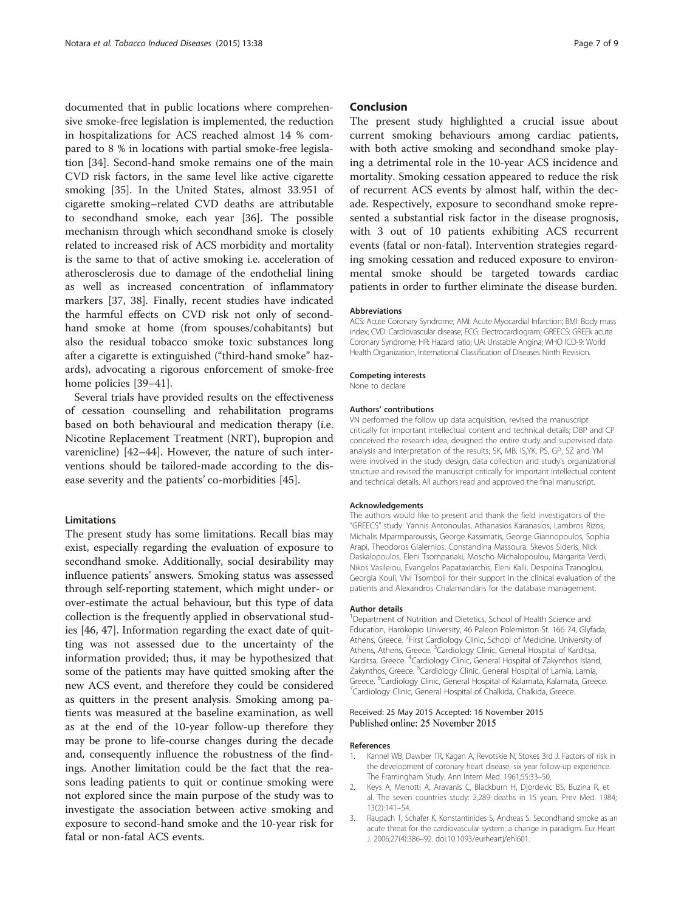<span id="page-6-0"></span>documented that in public locations where comprehensive smoke-free legislation is implemented, the reduction in hospitalizations for ACS reached almost 14 % compared to 8 % in locations with partial smoke-free legislation [[34\]](#page-7-0). Second-hand smoke remains one of the main CVD risk factors, in the same level like active cigarette smoking [[35\]](#page-7-0). In the United States, almost 33.951 of cigarette smoking–related CVD deaths are attributable to secondhand smoke, each year [[36](#page-7-0)]. The possible mechanism through which secondhand smoke is closely related to increased risk of ACS morbidity and mortality is the same to that of active smoking i.e. acceleration of atherosclerosis due to damage of the endothelial lining as well as increased concentration of inflammatory markers [\[37](#page-7-0), [38\]](#page-7-0). Finally, recent studies have indicated the harmful effects on CVD risk not only of secondhand smoke at home (from spouses/cohabitants) but also the residual tobacco smoke toxic substances long after a cigarette is extinguished ("third-hand smoke" hazards), advocating a rigorous enforcement of smoke-free home policies [\[39](#page-7-0)–[41\]](#page-7-0).

Several trials have provided results on the effectiveness of cessation counselling and rehabilitation programs based on both behavioural and medication therapy (i.e. Nicotine Replacement Treatment (NRT), bupropion and varenicline) [[42](#page-7-0)–[44\]](#page-7-0). However, the nature of such interventions should be tailored-made according to the disease severity and the patients' co-morbidities [\[45](#page-8-0)].

## **Limitations**

The present study has some limitations. Recall bias may exist, especially regarding the evaluation of exposure to secondhand smoke. Additionally, social desirability may influence patients' answers. Smoking status was assessed through self-reporting statement, which might under- or over-estimate the actual behaviour, but this type of data collection is the frequently applied in observational studies [\[46](#page-8-0), [47](#page-8-0)]. Information regarding the exact date of quitting was not assessed due to the uncertainty of the information provided; thus, it may be hypothesized that some of the patients may have quitted smoking after the new ACS event, and therefore they could be considered as quitters in the present analysis. Smoking among patients was measured at the baseline examination, as well as at the end of the 10-year follow-up therefore they may be prone to life-course changes during the decade and, consequently influence the robustness of the findings. Another limitation could be the fact that the reasons leading patients to quit or continue smoking were not explored since the main purpose of the study was to investigate the association between active smoking and exposure to second-hand smoke and the 10-year risk for fatal or non-fatal ACS events.

## Conclusion

The present study highlighted a crucial issue about current smoking behaviours among cardiac patients, with both active smoking and secondhand smoke playing a detrimental role in the 10-year ACS incidence and mortality. Smoking cessation appeared to reduce the risk of recurrent ACS events by almost half, within the decade. Respectively, exposure to secondhand smoke represented a substantial risk factor in the disease prognosis, with 3 out of 10 patients exhibiting ACS recurrent events (fatal or non-fatal). Intervention strategies regarding smoking cessation and reduced exposure to environmental smoke should be targeted towards cardiac patients in order to further eliminate the disease burden.

#### Abbreviations

ACS: Acute Coronary Syndrome; AMI: Acute Myocardial Infarction; BMI: Body mass index; CVD: Cardiovascular disease; ECG: Electrocardiogram; GREECS: GREEk acute Coronary Syndrome; HR: Hazard ratio; UA: Unstable Angina; WHO ICD-9: World Health Organization, International Classification of Diseases Ninth Revision.

#### Competing interests

None to declare

#### Authors' contributions

VN performed the follow up data acquisition, revised the manuscript critically for important intellectual content and technical details; DBP and CP conceived the research idea, designed the entire study and supervised data analysis and interpretation of the results; SK, MB, IS,YK, PS, GP, SZ and YM were involved in the study design, data collection and study's organizational structure and revised the manuscript critically for important intellectual content and technical details. All authors read and approved the final manuscript.

#### Acknowledgements

The authors would like to present and thank the field investigators of the "GREECS" study: Yannis Antonoulas, Athanasios Karanasios, Lambros Rizos, Michalis Mparmparoussis, George Kassimatis, George Giannopoulos, Sophia Arapi, Theodoros Gialernios, Constandina Massoura, Skevos Sideris, Nick Daskalopoulos, Eleni Tsompanaki, Moscho Michalopoulou, Margarita Verdi, Nikos Vasileiou, Evangelos Papataxiarchis, Eleni Kalli, Despoina Tzanoglou, Georgia Kouli, Vivi Tsomboli for their support in the clinical evaluation of the patients and Alexandros Chalamandaris for the database management.

#### Author details

<sup>1</sup>Department of Nutrition and Dietetics, School of Health Science and Education, Harokopio University, 46 Paleon Polemiston St. 166 74, Glyfada, Athens, Greece. <sup>2</sup>First Cardiology Clinic, School of Medicine, University of Athens, Athens, Greece. <sup>3</sup>Cardiology Clinic, General Hospital of Karditsa, Karditsa, Greece. <sup>4</sup>Cardiology Clinic, General Hospital of Zakynthos Island Zakynthos, Greece. <sup>5</sup>Cardiology Clinic, General Hospital of Lamia, Lamia, Greece. <sup>6</sup>Cardiology Clinic, General Hospital of Kalamata, Kalamata, Greece. <sup>7</sup>Cardiology Clinic, General Hospital of Chalkida, Chalkida, Greece. <sup>7</sup>Cardiology Clinic, General Hospital of Chalkida, Chalkida, Greece.

## Received: 25 May 2015 Accepted: 16 November 2015 Published online: 25 November 2015

#### References

- 1. Kannel WB, Dawber TR, Kagan A, Revotskie N, Stokes 3rd J. Factors of risk in the development of coronary heart disease–six year follow-up experience. The Framingham Study. Ann Intern Med. 1961;55:33–50.
- 2. Keys A, Menotti A, Aravanis C, Blackburn H, Djordevic BS, Buzina R, et al. The seven countries study: 2,289 deaths in 15 years. Prev Med. 1984; 13(2):141–54.
- 3. Raupach T, Schafer K, Konstantinides S, Andreas S. Secondhand smoke as an acute threat for the cardiovascular system: a change in paradigm. Eur Heart J. 2006;27(4):386–92. doi:[10.1093/eurheartj/ehi601.](http://dx.doi.org/10.1093/eurheartj/ehi601)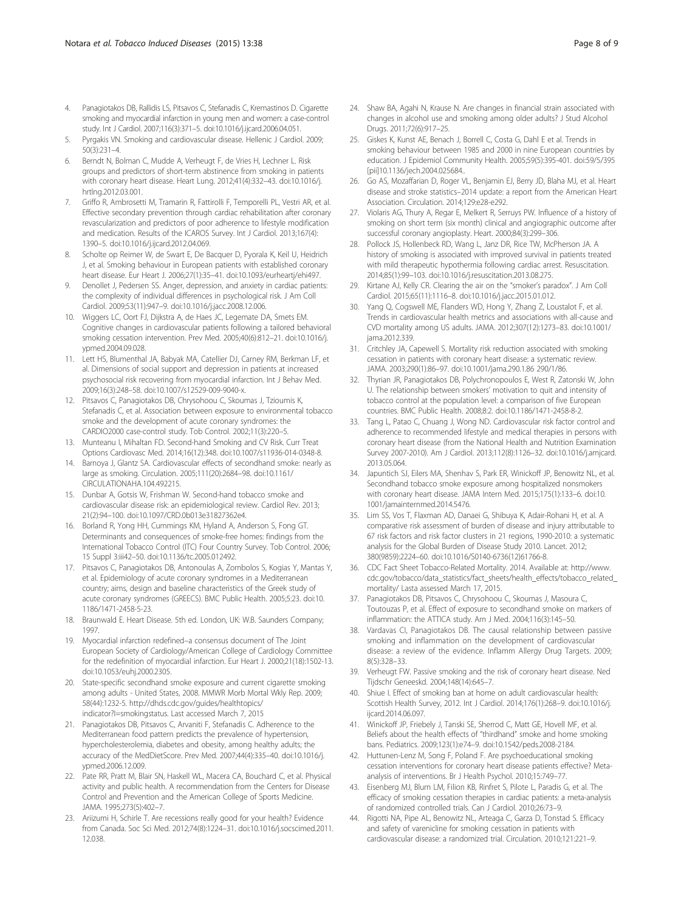- <span id="page-7-0"></span>4. Panagiotakos DB, Rallidis LS, Pitsavos C, Stefanadis C, Kremastinos D. Cigarette smoking and myocardial infarction in young men and women: a case-control study. Int J Cardiol. 2007;116(3):371–5. doi[:10.1016/j.ijcard.2006.04.051](http://dx.doi.org/10.1016/j.ijcard.2006.04.051).
- 5. Pyrgakis VN. Smoking and cardiovascular disease. Hellenic J Cardiol. 2009;  $50(3) \cdot 231 - 4$
- 6. Berndt N, Bolman C, Mudde A, Verheugt F, de Vries H, Lechner L. Risk groups and predictors of short-term abstinence from smoking in patients with coronary heart disease. Heart Lung. 2012;41(4):332–43. doi:[10.1016/j.](http://dx.doi.org/10.1016/j.hrtlng.2012.03.001) [hrtlng.2012.03.001](http://dx.doi.org/10.1016/j.hrtlng.2012.03.001).
- 7. Griffo R, Ambrosetti M, Tramarin R, Fattirolli F, Temporelli PL, Vestri AR, et al. Effective secondary prevention through cardiac rehabilitation after coronary revascularization and predictors of poor adherence to lifestyle modification and medication. Results of the ICAROS Survey. Int J Cardiol. 2013;167(4): 1390–5. doi:[10.1016/j.ijcard.2012.04.069](http://dx.doi.org/10.1016/j.ijcard.2012.04.069).
- Scholte op Reimer W, de Swart E, De Bacquer D, Pyorala K, Keil U, Heidrich J, et al. Smoking behaviour in European patients with established coronary heart disease. Eur Heart J. 2006;27(1):35–41. doi[:10.1093/eurheartj/ehi497](http://dx.doi.org/10.1093/eurheartj/ehi497).
- Denollet J, Pedersen SS. Anger, depression, and anxiety in cardiac patients: the complexity of individual differences in psychological risk. J Am Coll Cardiol. 2009;53(11):947–9. doi[:10.1016/j.jacc.2008.12.006](http://dx.doi.org/10.1016/j.jacc.2008.12.006).
- 10. Wiggers LC, Oort FJ, Dijkstra A, de Haes JC, Legemate DA, Smets EM. Cognitive changes in cardiovascular patients following a tailored behavioral smoking cessation intervention. Prev Med. 2005;40(6):812–21. doi:[10.1016/j.](http://dx.doi.org/10.1016/j.ypmed.2004.09.028) [ypmed.2004.09.028](http://dx.doi.org/10.1016/j.ypmed.2004.09.028).
- 11. Lett HS, Blumenthal JA, Babyak MA, Catellier DJ, Carney RM, Berkman LF, et al. Dimensions of social support and depression in patients at increased psychosocial risk recovering from myocardial infarction. Int J Behav Med. 2009;16(3):248–58. doi:[10.1007/s12529-009-9040-x.](http://dx.doi.org/10.1007/s12529-009-9040-x)
- 12. Pitsavos C, Panagiotakos DB, Chrysohoou C, Skoumas J, Tzioumis K, Stefanadis C, et al. Association between exposure to environmental tobacco smoke and the development of acute coronary syndromes: the CARDIO2000 case-control study. Tob Control. 2002;11(3):220–5.
- 13. Munteanu I, Mihaltan FD. Second-hand Smoking and CV Risk. Curr Treat Options Cardiovasc Med. 2014;16(12):348. doi[:10.1007/s11936-014-0348-8](http://dx.doi.org/10.1007/s11936-014-0348-8).
- 14. Barnoya J, Glantz SA. Cardiovascular effects of secondhand smoke: nearly as large as smoking. Circulation. 2005;111(20):2684–98. doi[:10.1161/](http://dx.doi.org/10.1161/CIRCULATIONAHA.104.492215) [CIRCULATIONAHA.104.492215](http://dx.doi.org/10.1161/CIRCULATIONAHA.104.492215).
- 15. Dunbar A, Gotsis W, Frishman W. Second-hand tobacco smoke and cardiovascular disease risk: an epidemiological review. Cardiol Rev. 2013; 21(2):94–100. doi[:10.1097/CRD.0b013e31827362e4.](http://dx.doi.org/10.1097/CRD.0b013e31827362e4)
- 16. Borland R, Yong HH, Cummings KM, Hyland A, Anderson S, Fong GT. Determinants and consequences of smoke-free homes: findings from the International Tobacco Control (ITC) Four Country Survey. Tob Control. 2006; 15 Suppl 3:iii42–50. doi:[10.1136/tc.2005.012492.](http://dx.doi.org/10.1136/tc.2005.012492)
- 17. Pitsavos C, Panagiotakos DB, Antonoulas A, Zombolos S, Kogias Y, Mantas Y, et al. Epidemiology of acute coronary syndromes in a Mediterranean country; aims, design and baseline characteristics of the Greek study of acute coronary syndromes (GREECS). BMC Public Health. 2005;5:23. doi:[10.](http://dx.doi.org/10.1186/1471-2458-5-23) [1186/1471-2458-5-23.](http://dx.doi.org/10.1186/1471-2458-5-23)
- 18. Braunwald E. Heart Disease. 5th ed. London, UK: W.B. Saunders Company; 1997.
- 19. Myocardial infarction redefined–a consensus document of The Joint European Society of Cardiology/American College of Cardiology Committee for the redefinition of myocardial infarction. Eur Heart J. 2000;21(18):1502-13. doi:10.1053/euhj.2000.2305.
- 20. State-specific secondhand smoke exposure and current cigarette smoking among adults - United States, 2008. MMWR Morb Mortal Wkly Rep. 2009; 58(44):1232-5. [http://dhds.cdc.gov/guides/healthtopics/](http://dhds.cdc.gov/guides/healthtopics/indicator?I=smokingstatus) [indicator?I=smokingstatus.](http://dhds.cdc.gov/guides/healthtopics/indicator?I=smokingstatus) Last accessed March 7, 2015
- 21. Panagiotakos DB, Pitsavos C, Arvaniti F, Stefanadis C. Adherence to the Mediterranean food pattern predicts the prevalence of hypertension, hypercholesterolemia, diabetes and obesity, among healthy adults; the accuracy of the MedDietScore. Prev Med. 2007;44(4):335–40. doi:[10.1016/j.](http://dx.doi.org/10.1016/j.ypmed.2006.12.009) [ypmed.2006.12.009](http://dx.doi.org/10.1016/j.ypmed.2006.12.009).
- 22. Pate RR, Pratt M, Blair SN, Haskell WL, Macera CA, Bouchard C, et al. Physical activity and public health. A recommendation from the Centers for Disease Control and Prevention and the American College of Sports Medicine. JAMA. 1995;273(5):402–7.
- 23. Ariizumi H, Schirle T. Are recessions really good for your health? Evidence from Canada. Soc Sci Med. 2012;74(8):1224–31. doi:[10.1016/j.socscimed.2011.](http://dx.doi.org/10.1016/j.socscimed.2011.12.038) [12.038.](http://dx.doi.org/10.1016/j.socscimed.2011.12.038)
- 24. Shaw BA, Agahi N, Krause N. Are changes in financial strain associated with changes in alcohol use and smoking among older adults? J Stud Alcohol Drugs. 2011;72(6):917–25.
- 25. Giskes K, Kunst AE, Benach J, Borrell C, Costa G, Dahl E et al. Trends in smoking behaviour between 1985 and 2000 in nine European countries by education. J Epidemiol Community Health. 2005;59(5):395-401. doi:59/5/395 [pii]10.1136/jech.2004.025684..
- 26. Go AS, Mozaffarian D, Roger VL, Benjamin EJ, Berry JD, Blaha MJ, et al. Heart disease and stroke statistics–2014 update: a report from the American Heart Association. Circulation. 2014;129:e28-e292.
- 27. Violaris AG, Thury A, Regar E, Melkert R, Serruys PW. Influence of a history of smoking on short term (six month) clinical and angiographic outcome after successful coronary angioplasty. Heart. 2000;84(3):299–306.
- 28. Pollock JS, Hollenbeck RD, Wang L, Janz DR, Rice TW, McPherson JA. A history of smoking is associated with improved survival in patients treated with mild therapeutic hypothermia following cardiac arrest. Resuscitation. 2014;85(1):99–103. doi:[10.1016/j.resuscitation.2013.08.275.](http://dx.doi.org/10.1016/j.resuscitation.2013.08.275)
- 29. Kirtane AJ, Kelly CR. Clearing the air on the "smoker's paradox". J Am Coll Cardiol. 2015;65(11):1116–8. doi:[10.1016/j.jacc.2015.01.012.](http://dx.doi.org/10.1016/j.jacc.2015.01.012)
- 30. Yang Q, Cogswell ME, Flanders WD, Hong Y, Zhang Z, Loustalot F, et al. Trends in cardiovascular health metrics and associations with all-cause and CVD mortality among US adults. JAMA. 2012;307(12):1273–83. doi[:10.1001/](http://dx.doi.org/10.1001/jama.2012.339) [jama.2012.339.](http://dx.doi.org/10.1001/jama.2012.339)
- 31. Critchley JA, Capewell S. Mortality risk reduction associated with smoking cessation in patients with coronary heart disease: a systematic review. JAMA. 2003;290(1):86–97. doi:[10.1001/jama.290.1.86 290/1/86.](http://dx.doi.org/10.1001/jama.290.1.86%20290/1/86)
- 32. Thyrian JR, Panagiotakos DB, Polychronopoulos E, West R, Zatonski W, John U. The relationship between smokers' motivation to quit and intensity of tobacco control at the population level: a comparison of five European countries. BMC Public Health. 2008;8:2. doi:[10.1186/1471-2458-8-2](http://dx.doi.org/10.1186/1471-2458-8-2).
- 33. Tang L, Patao C, Chuang J, Wong ND. Cardiovascular risk factor control and adherence to recommended lifestyle and medical therapies in persons with coronary heart disease (from the National Health and Nutrition Examination Survey 2007-2010). Am J Cardiol. 2013;112(8):1126–32. doi[:10.1016/j.amjcard.](http://dx.doi.org/10.1016/j.amjcard.2013.05.064) [2013.05.064.](http://dx.doi.org/10.1016/j.amjcard.2013.05.064)
- 34. Japuntich SJ, Eilers MA, Shenhav S, Park ER, Winickoff JP, Benowitz NL, et al. Secondhand tobacco smoke exposure among hospitalized nonsmokers with coronary heart disease. JAMA Intern Med. 2015;175(1):133–6. doi:[10.](http://dx.doi.org/10.1001/jamainternmed.2014.5476) [1001/jamainternmed.2014.5476.](http://dx.doi.org/10.1001/jamainternmed.2014.5476)
- 35. Lim SS, Vos T, Flaxman AD, Danaei G, Shibuya K, Adair-Rohani H, et al. A comparative risk assessment of burden of disease and injury attributable to 67 risk factors and risk factor clusters in 21 regions, 1990-2010: a systematic analysis for the Global Burden of Disease Study 2010. Lancet. 2012; 380(9859):2224–60. doi[:10.1016/S0140-6736\(12\)61766-8](http://dx.doi.org/10.1016/S0140-6736(12)61766-8).
- 36. CDC Fact Sheet Tobacco-Related Mortality. 2014. Available at: [http://www.](http://www.cdc.gov/tobacco/data_statistics_fact_sheet/health_effects/tobacco_related_mortality/index/htm=chs) cdc.gov/tobacco/data\_statistics/fact\_sheets/health\_effects/tobacco\_related [mortality/](http://www.cdc.gov/tobacco/data_statistics_fact_sheet/health_effects/tobacco_related_mortality/index/htm=chs) Lasta assessed March 17, 2015.
- 37. Panagiotakos DB, Pitsavos C, Chrysohoou C, Skoumas J, Masoura C, Toutouzas P, et al. Effect of exposure to secondhand smoke on markers of inflammation: the ATTICA study. Am J Med. 2004;116(3):145–50.
- 38. Vardavas CI, Panagiotakos DB. The causal relationship between passive smoking and inflammation on the development of cardiovascular disease: a review of the evidence. Inflamm Allergy Drug Targets. 2009; 8(5):328–33.
- 39. Verheugt FW. Passive smoking and the risk of coronary heart disease. Ned Tijdschr Geneeskd. 2004;148(14):645–7.
- 40. Shiue I. Effect of smoking ban at home on adult cardiovascular health: Scottish Health Survey, 2012. Int J Cardiol. 2014;176(1):268–9. doi[:10.1016/j.](http://dx.doi.org/10.1016/j.ijcard.2014.06.097) [ijcard.2014.06.097](http://dx.doi.org/10.1016/j.ijcard.2014.06.097).
- 41. Winickoff JP, Friebely J, Tanski SE, Sherrod C, Matt GE, Hovell MF, et al. Beliefs about the health effects of "thirdhand" smoke and home smoking bans. Pediatrics. 2009;123(1):e74–9. doi:[10.1542/peds.2008-2184](http://dx.doi.org/10.1542/peds.2008-2184).
- 42. Huttunen-Lenz M, Song F, Poland F. Are psychoeducational smoking cessation interventions for coronary heart disease patients effective? Metaanalysis of interventions. Br J Health Psychol. 2010;15:749–77.
- 43. Eisenberg MJ, Blum LM, Filion KB, Rinfret S, Pilote L, Paradis G, et al. The efficacy of smoking cessation therapies in cardiac patients: a meta-analysis of randomized controlled trials. Can J Cardiol. 2010;26:73–9.
- 44. Rigotti NA, Pipe AL, Benowitz NL, Arteaga C, Garza D, Tonstad S. Efficacy and safety of varenicline for smoking cessation in patients with cardiovascular disease: a randomized trial. Circulation. 2010;121:221–9.